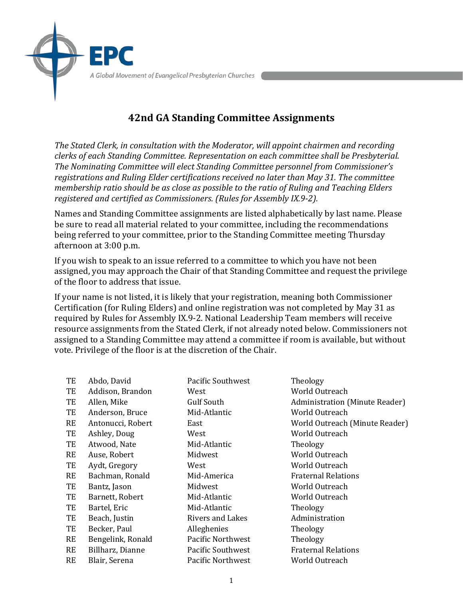## **42nd GA Standing Committee Assignments**

The Stated Clerk, in consultation with the Moderator, will appoint chairmen and recording *clerks of each Standing Committee. Representation on each committee shall be Presbyterial.* The Nominating Committee will elect Standing Committee personnel from Commissioner's registrations and Ruling Elder certifications received no later than May 31. The committee *membership ratio should be as close as possible to the ratio of Ruling and Teaching Elders registered and certified as Commissioners. (Rules for Assembly IX.9-2).* 

Names and Standing Committee assignments are listed alphabetically by last name. Please be sure to read all material related to your committee, including the recommendations being referred to your committee, prior to the Standing Committee meeting Thursday afternoon at 3:00 p.m.

If you wish to speak to an issue referred to a committee to which you have not been assigned, you may approach the Chair of that Standing Committee and request the privilege of the floor to address that issue.

If your name is not listed, it is likely that your registration, meaning both Commissioner Certification (for Ruling Elders) and online registration was not completed by May 31 as required by Rules for Assembly IX.9-2. National Leadership Team members will receive resource assignments from the Stated Clerk, if not already noted below. Commissioners not assigned to a Standing Committee may attend a committee if room is available, but without vote. Privilege of the floor is at the discretion of the Chair.

| TE        | Abdo, David       | <b>Pacific Southwest</b> | Theology                              |
|-----------|-------------------|--------------------------|---------------------------------------|
| TE        | Addison, Brandon  | West                     | World Outreach                        |
| TE        | Allen, Mike       | Gulf South               | <b>Administration (Minute Reader)</b> |
| TE        | Anderson, Bruce   | Mid-Atlantic             | <b>World Outreach</b>                 |
| RE        | Antonucci, Robert | East                     | World Outreach (Minute Reader)        |
| TE        | Ashley, Doug      | West                     | World Outreach                        |
| TE        | Atwood, Nate      | Mid-Atlantic             | Theology                              |
| <b>RE</b> | Ause, Robert      | Midwest                  | World Outreach                        |
| TE        | Aydt, Gregory     | West                     | World Outreach                        |
| RE        | Bachman, Ronald   | Mid-America              | <b>Fraternal Relations</b>            |
| TE        | Bantz, Jason      | Midwest                  | World Outreach                        |
| TE        | Barnett, Robert   | Mid-Atlantic             | World Outreach                        |
| TE        | Bartel, Eric      | Mid-Atlantic             | Theology                              |
| TE        | Beach, Justin     | <b>Rivers and Lakes</b>  | Administration                        |
| TE        | Becker, Paul      | Alleghenies              | Theology                              |
| RE        | Bengelink, Ronald | <b>Pacific Northwest</b> | Theology                              |
| <b>RE</b> | Billharz, Dianne  | Pacific Southwest        | <b>Fraternal Relations</b>            |
| <b>RE</b> | Blair, Serena     | Pacific Northwest        | World Outreach                        |
|           |                   |                          |                                       |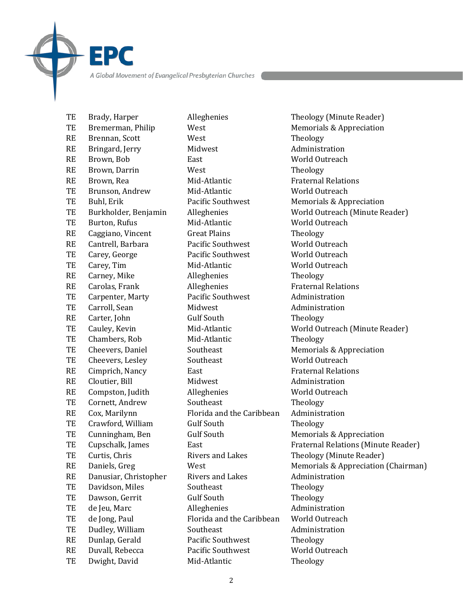TE Brady, Harper **Alleghenies** Theology (Minute Reader) TE Bremerman, Philip West Memorials & Appreciation RE Brennan, Scott West Theology RE Bringard, Jerry Midwest Administration RE Brown, Bob East World Outreach RE Brown, Darrin West West Theology RE Brown, Rea Mid-Atlantic Fraternal Relations TE Brunson, Andrew Mid-Atlantic World Outreach TE Buhl, Erik **Pacific** Southwest Memorials & Appreciation TE Burton, Rufus Mid-Atlantic World Outreach RE Caggiano, Vincent Great Plains Theology RE Cantrell, Barbara Pacific Southwest World Outreach TE Carey, George **Pacific Southwest** World Outreach TE Carey, Tim Mid-Atlantic World Outreach RE Carney, Mike **Alleghenies** Theology RE Carolas, Frank Alleghenies Fraternal Relations TE Carpenter, Marty Pacific Southwest Administration TE Carroll, Sean Midwest Administration RE Carter, John Gulf South Theology TE Chambers, Rob Mid-Atlantic Theology TE Cheevers, Daniel Southeast Southeast Memorials & Appreciation TE Cheevers, Lesley Southeast World Outreach RE Cimprich, Nancy East East Fraternal Relations RE Cloutier, Bill Midwest Administration RE Compston, Judith Alleghenies Morld Outreach TE Cornett, Andrew Southeast Theology RE Cox, Marilynn Florida and the Caribbean Administration TE Crawford, William Gulf South Theology TE Cunningham, Ben Gulf South Memorials & Appreciation TE Curtis, Chris **Rivers** and Lakes Theology (Minute Reader) RE Danusiar, Christopher Rivers and Lakes Administration TE Davidson, Miles Southeast Theology TE Dawson, Gerrit Gulf South Theology TE de Jeu, Marc Alleghenies Administration TE de Jong, Paul Florida and the Caribbean World Outreach TE Dudley, William Southeast Administration RE Dunlap, Gerald Pacific Southwest Theology RE Duvall, Rebecca Pacific Southwest World Outreach

EPC

TE Dwight, David Mid-Atlantic Theology

TE Burkholder, Benjamin Alleghenies World Outreach (Minute Reader) TE Cauley, Kevin Mid-Atlantic World Outreach (Minute Reader) TE Cupschalk, James East East Fraternal Relations (Minute Reader) RE Daniels, Greg West West Memorials & Appreciation (Chairman)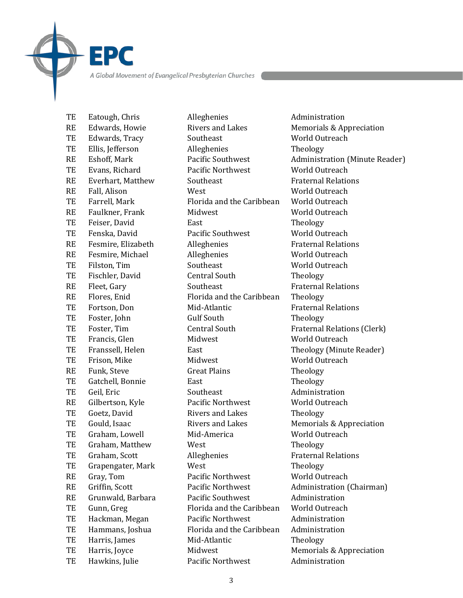TE Eatough, Chris Alleghenies Administration RE Edwards, Howie Rivers and Lakes Memorials & Appreciation TE Edwards, Tracy Southeast World Outreach TE Ellis, Jefferson Alleghenies Theology TE Evans, Richard Pacific Northwest World Outreach RE Everhart, Matthew Southeast Southeast Fraternal Relations RE Fall, Alison West West World Outreach TE Farrell, Mark **Florida** and the Caribbean World Outreach RE Faulkner, Frank Midwest Midwest World Outreach TE Feiser, David **East** East Theology TE Fenska, David Pacific Southwest World Outreach RE Fesmire, Elizabeth Alleghenies Fraternal Relations RE Fesmire, Michael Alleghenies Morld Outreach TE Filston, Tim Southeast World Outreach TE Fischler, David Central South Theology RE Fleet, Gary Southeast Fraternal Relations RE Flores, Enid Florida and the Caribbean Theology TE Fortson, Don Mid-Atlantic Fraternal Relations TE Foster, John Gulf South Theology TE Foster, Tim Central South Fraternal Relations (Clerk) TE Francis, Glen Midwest World Outreach TE Franssell, Helen East East Theology (Minute Reader) TE Frison, Mike Midwest Midwest World Outreach RE Funk, Steve Great Plains Theology TE Gatchell, Bonnie East East Theology TE Geil, Eric Southeast Administration RE Gilbertson, Kyle Pacific Northwest World Outreach TE Goetz, David Rivers and Lakes Theology TE Gould, Isaac Rivers and Lakes Memorials & Appreciation TE Graham, Lowell Mid-America Morld Outreach TE Graham, Matthew West **Theology** TE Graham, Scott **Alleghenies** Fraternal Relations TE Grapengater, Mark West Theology RE Gray, Tom Pacific Northwest World Outreach RE Griffin, Scott **Pacific Northwest** Administration (Chairman) RE Grunwald, Barbara Pacific Southwest Administration TE Gunn, Greg Florida and the Caribbean World Outreach TE Hackman, Megan Pacific Northwest Administration TE Hammans, Joshua Florida and the Caribbean Administration TE Harris, James Mid-Atlantic Theology TE Harris, Joyce Midwest Memorials & Appreciation

EPC

TE Hawkins, Julie Pacific Northwest Administration

RE Eshoff, Mark Pacific Southwest Administration (Minute Reader)

3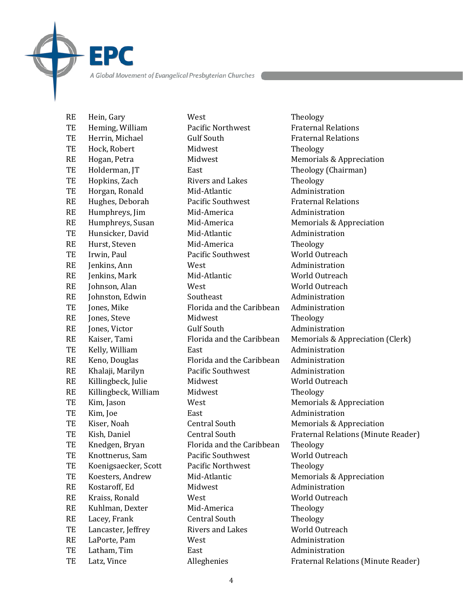TE Heming, William Pacific Northwest Fraternal Relations TE Herrin, Michael **Gulf** South **Gulf** Fraternal Relations TE Hock, Robert Midwest Theology RE Hogan, Petra **Midwest** Midwest Memorials & Appreciation TE Holderman, JT East East Theology (Chairman) TE Hopkins, Zach Rivers and Lakes Theology TE Horgan, Ronald Mid-Atlantic Medicines Administration RE Hughes, Deborah Pacific Southwest Fraternal Relations RE Humphreys, Jim Mid-America Administration RE Humphreys, Susan Mid-America Memorials & Appreciation TE Hunsicker, David Mid-Atlantic Medicines Administration RE Hurst, Steven Mid-America Theology TE Irwin, Paul Pacific Southwest World Outreach RE Jenkins, Ann **West** Mest Administration RE Jenkins, Mark Mid-Atlantic World Outreach RE Johnson, Alan West West World Outreach RE Johnston, Edwin Southeast Administration TE Jones, Mike Florida and the Caribbean Administration RE Jones, Steve Midwest Theology RE Jones, Victor **Gulf** South **Administration** TE Kelly, William **East** East Administration RE Keno, Douglas Florida and the Caribbean Administration RE Khalaji, Marilyn Pacific Southwest Administration RE Killingbeck, Julie Midwest Midwest Morld Outreach RE Killingbeck, William Midwest Theology TE Kim, Jason West West Memorials & Appreciation TE Kim, Joe **East** East **Administration** TE Kiser, Noah Central South Memorials & Appreciation TE Knedgen, Bryan Florida and the Caribbean Theology TE Knottnerus, Sam Pacific Southwest World Outreach TE Koenigsaecker, Scott Pacific Northwest Theology TE Koesters, Andrew Mid-Atlantic Memorials & Appreciation RE Kostaroff, Ed Midwest Administration RE Kraiss, Ronald West West World Outreach RE Kuhlman, Dexter Mid-America Theology RE Lacey, Frank Central South Theology TE Lancaster, Jeffrey Rivers and Lakes World Outreach RE LaPorte, Pam West Messic Music Administration TE Latham, Tim East Administration

**EPC** 

RE Hein, Gary West West Theology

RE Kaiser, Tami Florida and the Caribbean Memorials & Appreciation (Clerk) TE Kish, Daniel **Central South** Fraternal Relations (Minute Reader) TE Latz, Vince **Alleghenies** Fraternal Relations (Minute Reader)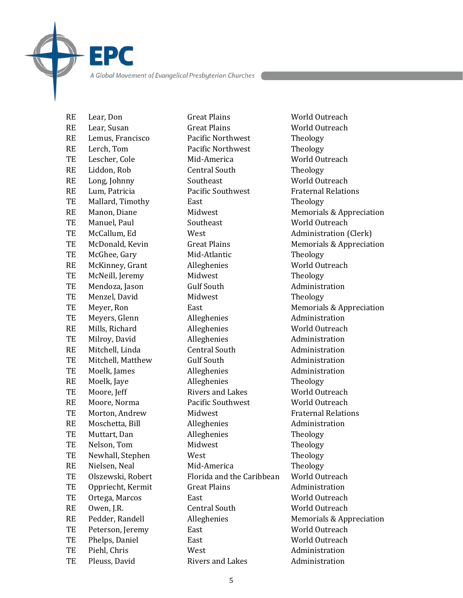RE Lear, Susan Great Plains World Outreach RE Lemus, Francisco Pacific Northwest Theology RE Lerch, Tom Pacific Northwest Theology TE Lescher, Cole Mid-America World Outreach RE Liddon, Rob Central South Theology RE Long, Johnny Southeast World Outreach RE Lum, Patricia **Pacific** Southwest **Pacific** Fraternal Relations TE Mallard, Timothy East Theology TE Manuel, Paul Southeast World Outreach TE McCallum, Ed West Administration (Clerk) TE McGhee, Gary Mid-Atlantic Theology RE McKinney, Grant Alleghenies Morld Outreach TE McNeill, Jeremy Midwest Theology TE Mendoza, Jason Gulf South Administration TE Menzel, David Midwest Theology TE Meyers, Glenn **Alleghenies** Administration RE Mills, Richard **Alleghenies** World Outreach TE Milroy, David Alleghenies Administration RE Mitchell, Linda Central South Administration TE Mitchell, Matthew Gulf South Administration TE Moelk, James Alleghenies Administration RE Moelk, Jaye **Alleghenies** Theology TE Moore, Jeff Rivers and Lakes World Outreach RE Moore, Norma **Pacific Southwest** World Outreach TE Morton, Andrew Midwest **Fraternal Relations** RE Moschetta, Bill Alleghenies Administration TE Muttart, Dan Alleghenies Theology TE Nelson, Tom Midwest Theology TE Newhall, Stephen West Theology RE Nielsen, Neal Mid-America Theology TE Olszewski, Robert Florida and the Caribbean World Outreach TE Oppriecht, Kermit Great Plains Administration TE Ortega, Marcos East East World Outreach RE Owen, I.R. Central South World Outreach TE Peterson, Jeremy East East World Outreach TE Phelps, Daniel **East** East World Outreach TE Piehl, Chris West Administration

EPC

RE Lear, Don Great Plains World Outreach

RE Manon, Diane Midwest Memorials & Appreciation TE McDonald, Kevin Great Plains Memorials & Appreciation TE Meyer, Ron East East Memorials & Appreciation RE Pedder, Randell Alleghenies Memorials & Appreciation TE Pleuss, David Rivers and Lakes Administration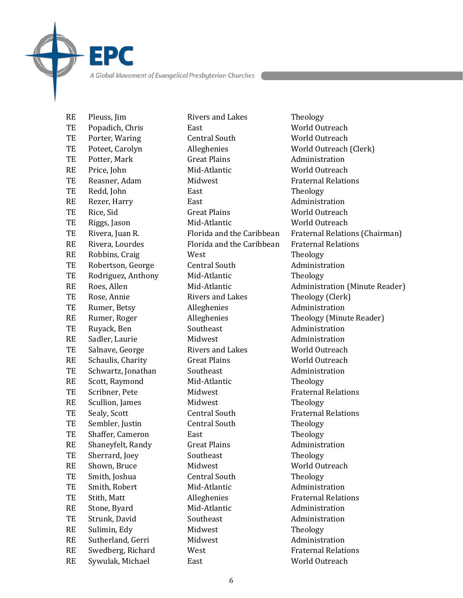TE Popadich, Chris East East World Outreach TE Porter, Waring Central South World Outreach TE Poteet, Carolyn Alleghenies World Outreach (Clerk) TE Potter, Mark Great Plains Administration RE Price, John Mid-Atlantic World Outreach TE Reasner, Adam Midwest Fraternal Relations TE Redd, John East East Theology RE Rezer, Harry **East** East **Administration** TE Rice, Sid Great Plains World Outreach TE Riggs, Jason Mid-Atlantic World Outreach RE Rivera, Lourdes **Florida** and the Caribbean Fraternal Relations RE Robbins, Craig West West Theology TE Robertson, George Central South Administration TE Rodriguez, Anthony Mid-Atlantic Theology TE Rose, Annie Rivers and Lakes Theology (Clerk) TE Rumer, Betsy **Alleghenies** Administration TE Ruyack, Ben Southeast Administration RE Sadler, Laurie **Midwest Administration** TE Salnave, George Rivers and Lakes World Outreach RE Schaulis, Charity Great Plains World Outreach TE Schwartz, Jonathan Southeast Administration RE Scott, Raymond Mid-Atlantic Theology TE Scribner, Pete Midwest Fraternal Relations RE Scullion, James Midwest Theology TE Sealy, Scott **Central South** Fraternal Relations TE Sembler, Justin Central South Theology TE Shaffer, Cameron East East Theology RE Shaneyfelt, Randy Great Plains Administration TE Sherrard, Joey Southeast Theology RE Shown, Bruce Midwest Mill Morld Outreach TE Smith, Joshua **Central South** Theology TE Smith, Robert Mid-Atlantic Administration TE Stith, Matt **Alleghenies** Fraternal Relations RE Stone, Byard Mid-Atlantic Administration TE Strunk, David Southeast Administration RE Sulimin, Edv Midwest Theology RE Sutherland, Gerri Midwest Midmeter Midmeter Muslem Administration RE Swedberg, Richard West **Fraternal Relations** 

**EPC** 

RE Pleuss, Iim Rivers and Lakes Theology RE Sywulak, Michael East East World Outreach

TE Rivera, Juan R. Florida and the Caribbean Fraternal Relations (Chairman) RE Roes, Allen Mid-Atlantic Administration (Minute Reader) RE Rumer, Roger Alleghenies Theology (Minute Reader)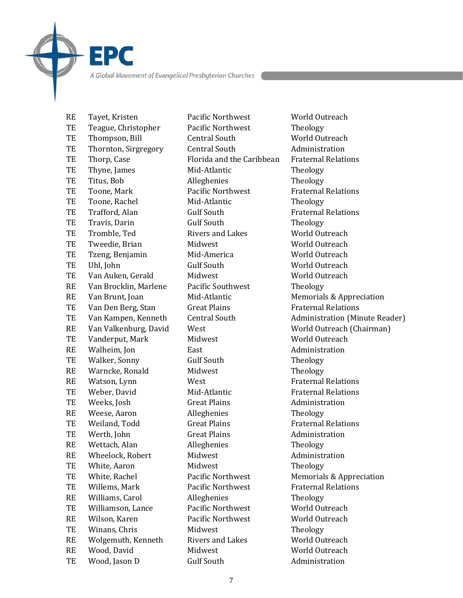RE Tayet, Kristen **Pacific Northwest** World Outreach TE Teague, Christopher Pacific Northwest Theology TE Thompson, Bill Central South World Outreach TE Thornton, Sirgregory Central South Administration TE Thorp, Case Florida and the Caribbean Fraternal Relations TE Thyne, James Mid-Atlantic Theology TE Titus, Bob Alleghenies Theology TE Toone, Mark **Pacific Northwest** Praternal Relations TE Toone, Rachel Mid-Atlantic Theology TE Trafford, Alan Gulf South Gulf Gulf Fraternal Relations TE Travis, Darin Gulf South Theology TE Tromble, Ted Rivers and Lakes World Outreach TE Tweedie, Brian Midwest Midwest World Outreach TE Tzeng, Benjamin Mid-America World Outreach TE Uhl, John Gulf South World Outreach TE Van Auken, Gerald Midwest World Outreach RE Van Brocklin, Marlene Pacific Southwest Theology RE Van Brunt, Joan Mid-Atlantic Memorials & Appreciation TE Van Den Berg, Stan Great Plains Fraternal Relations TE Vanderput, Mark Midwest Mill Mill Morld Outreach RE Walheim, Jon **East** East **Administration** TE Walker, Sonny Gulf South Theology RE Warncke, Ronald Midwest Theology RE Watson, Lynn West West Fraternal Relations TE Weber, David Mid-Atlantic Fraternal Relations TE Weeks, Josh Great Plains Administration RE Weese, Aaron **Alleghenies** Theology TE Weiland, Todd Great Plains Great Plations Fraternal Relations TE Werth, John Great Plains Administration RE Wettach, Alan **Alleghenies** Theology RE Wheelock, Robert Midwest Midministration TE White, Aaron Midwest Theology TE White, Rachel Pacific Northwest Memorials & Appreciation TE Willems, Mark **Pacific Northwest** Praternal Relations RE Williams, Carol **Alleghenies** Theology TE Williamson, Lance Pacific Northwest World Outreach RE Wilson, Karen **Pacific Northwest** World Outreach TE Winans, Chris Midwest Theology RE Wolgemuth, Kenneth Rivers and Lakes World Outreach RE Wood, David Midwest Norld Outreach

EPC

TE Wood, Jason D Gulf South Administration

TE Van Kampen, Kenneth Central South Administration (Minute Reader) RE Van Valkenburg, David West North World Outreach (Chairman)